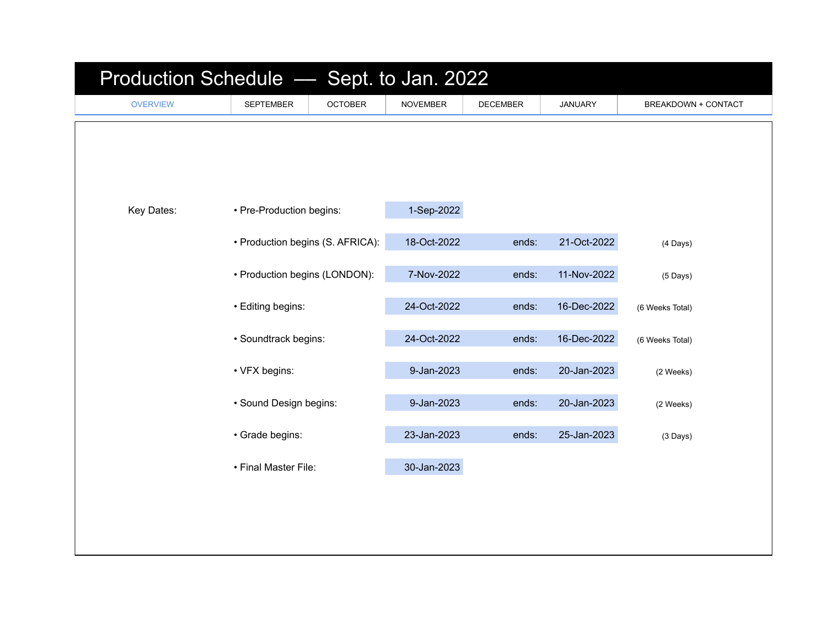| Production Schedule - Sept. to Jan. 2022 |                                                    |                |                 |                 |                |                            |  |  |
|------------------------------------------|----------------------------------------------------|----------------|-----------------|-----------------|----------------|----------------------------|--|--|
| <b>OVERVIEW</b>                          | <b>SEPTEMBER</b>                                   | <b>OCTOBER</b> | <b>NOVEMBER</b> | <b>DECEMBER</b> | <b>JANUARY</b> | <b>BREAKDOWN + CONTACT</b> |  |  |
|                                          |                                                    |                |                 |                 |                |                            |  |  |
| Key Dates:                               | • Pre-Production begins:                           |                | 1-Sep-2022      |                 |                |                            |  |  |
|                                          | • Production begins (S. AFRICA):                   |                | 18-Oct-2022     | ends:           | 21-Oct-2022    | (4 Days)                   |  |  |
|                                          | • Production begins (LONDON):<br>• Editing begins: |                | 7-Nov-2022      | ends:           | 11-Nov-2022    | (5 Days)                   |  |  |
|                                          |                                                    |                | 24-Oct-2022     | ends:           | 16-Dec-2022    | (6 Weeks Total)            |  |  |
|                                          | · Soundtrack begins:                               |                | 24-Oct-2022     | ends:           | 16-Dec-2022    | (6 Weeks Total)            |  |  |
|                                          | • VFX begins:                                      |                | 9-Jan-2023      | ends:           | 20-Jan-2023    | (2 Weeks)                  |  |  |
|                                          | · Sound Design begins:                             |                | 9-Jan-2023      | ends:           | 20-Jan-2023    | (2 Weeks)                  |  |  |
|                                          | · Grade begins:                                    |                | 23-Jan-2023     | ends:           | 25-Jan-2023    | (3 Days)                   |  |  |
|                                          | • Final Master File:                               |                | 30-Jan-2023     |                 |                |                            |  |  |
|                                          |                                                    |                |                 |                 |                |                            |  |  |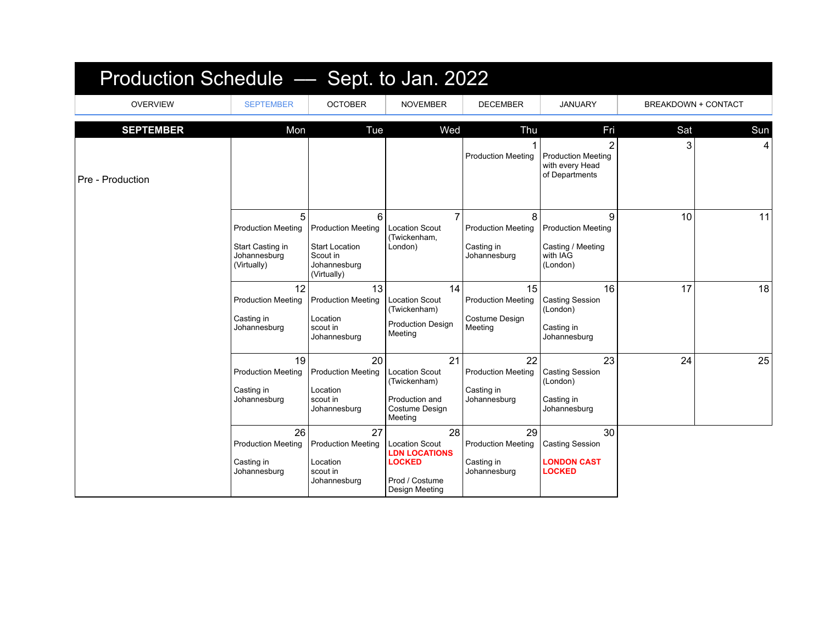| Production Schedule - Sept. to Jan. 2022 |                                                                                   |                                                                                                    |                                                                                                          |                                                               |                                                                                  |                            |     |  |
|------------------------------------------|-----------------------------------------------------------------------------------|----------------------------------------------------------------------------------------------------|----------------------------------------------------------------------------------------------------------|---------------------------------------------------------------|----------------------------------------------------------------------------------|----------------------------|-----|--|
| <b>OVERVIEW</b>                          | <b>SEPTEMBER</b>                                                                  | <b>OCTOBER</b>                                                                                     | <b>NOVEMBER</b>                                                                                          | <b>DECEMBER</b>                                               | <b>JANUARY</b>                                                                   | <b>BREAKDOWN + CONTACT</b> |     |  |
| <b>SEPTEMBER</b>                         | Mon                                                                               | Tue                                                                                                | Wed                                                                                                      | Thu                                                           | Fri                                                                              | Sat                        | Sun |  |
| Pre - Production                         |                                                                                   |                                                                                                    |                                                                                                          | <b>Production Meeting</b>                                     | $\overline{2}$<br><b>Production Meeting</b><br>with every Head<br>of Departments | 3                          | 4   |  |
|                                          | 5<br><b>Production Meeting</b><br>Start Casting in<br>Johannesburg<br>(Virtually) | 6<br><b>Production Meeting</b><br><b>Start Location</b><br>Scout in<br>Johannesburg<br>(Virtually) | 7<br><b>Location Scout</b><br>(Twickenham.<br>London)                                                    | 8<br><b>Production Meeting</b><br>Casting in<br>Johannesburg  | 9<br><b>Production Meeting</b><br>Casting / Meeting<br>with IAG<br>(London)      | 10                         | 11  |  |
|                                          | 12<br><b>Production Meeting</b><br>Casting in<br>Johannesburg                     | 13<br><b>Production Meeting</b><br>Location<br>scout in<br>Johannesburg                            | 14<br><b>Location Scout</b><br>(Twickenham)<br><b>Production Design</b><br>Meeting                       | 15<br><b>Production Meeting</b><br>Costume Design<br>Meeting  | 16<br><b>Casting Session</b><br>(London)<br>Casting in<br>Johannesburg           | 17                         | 18  |  |
|                                          | 19<br><b>Production Meeting</b><br>Casting in<br>Johannesburg                     | 20<br><b>Production Meeting</b><br>Location<br>scout in<br>Johannesburg                            | 21<br><b>Location Scout</b><br>(Twickenham)<br>Production and<br>Costume Design<br>Meeting               | 22<br><b>Production Meeting</b><br>Casting in<br>Johannesburg | 23<br><b>Casting Session</b><br>(London)<br>Casting in<br>Johannesburg           | 24                         | 25  |  |
|                                          | 26<br><b>Production Meeting</b><br>Casting in<br>Johannesburg                     | 27<br><b>Production Meeting</b><br>Location<br>scout in<br>Johannesburg                            | 28<br><b>Location Scout</b><br><b>LDN LOCATIONS</b><br><b>LOCKED</b><br>Prod / Costume<br>Design Meeting | 29<br><b>Production Meeting</b><br>Casting in<br>Johannesburg | 30<br><b>Casting Session</b><br><b>LONDON CAST</b><br><b>LOCKED</b>              |                            |     |  |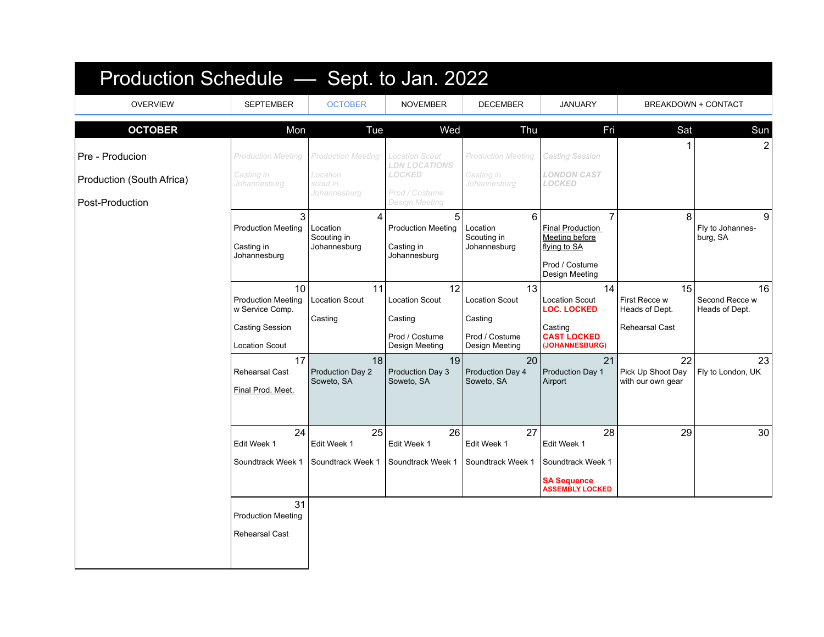| Production Schedule - Sept. to Jan. 2022                        |                                                                                                       |                                                                   |                                                                                             |                                                                     |                                                                                                                        |                                                                |                                        |  |
|-----------------------------------------------------------------|-------------------------------------------------------------------------------------------------------|-------------------------------------------------------------------|---------------------------------------------------------------------------------------------|---------------------------------------------------------------------|------------------------------------------------------------------------------------------------------------------------|----------------------------------------------------------------|----------------------------------------|--|
| <b>OVERVIEW</b>                                                 | <b>SEPTEMBER</b>                                                                                      | <b>OCTOBER</b>                                                    | <b>NOVEMBER</b>                                                                             | <b>DECEMBER</b>                                                     | <b>JANUARY</b>                                                                                                         |                                                                | BREAKDOWN + CONTACT                    |  |
| <b>OCTOBER</b>                                                  | Mon                                                                                                   | Tue                                                               | Wed                                                                                         | Thu                                                                 | Fri                                                                                                                    | Sat                                                            | Sun                                    |  |
| Pre - Producion<br>Production (South Africa)<br>Post-Production | <b>Production Meeting</b><br>Casting in<br>Johannesburg                                               | <b>Production Meeting</b><br>Location<br>scout in<br>Johannesburg | <b>Location Scout</b><br><b>LDN LOCATIONS</b><br>LOCKED<br>Prod / Costume<br>Design Meeting | <b>Production Meeting</b><br>Casting in<br>Johannesburg             | Casting Session<br><b>LONDON CAST</b><br>LOCKED                                                                        |                                                                |                                        |  |
|                                                                 | 3<br><b>Production Meeting</b><br>Casting in<br>Johannesburg                                          | 4<br>Location<br>Scouting in<br>Johannesburg                      | 5<br><b>Production Meeting</b><br>Casting in<br>Johannesburg                                | 6<br>Location<br>Scouting in<br>Johannesburg                        | $\overline{7}$<br><b>Final Production</b><br><b>Meeting before</b><br>flying to SA<br>Prod / Costume<br>Design Meeting | 8                                                              | 9<br>Fly to Johannes-<br>burg, SA      |  |
|                                                                 | 10<br><b>Production Meeting</b><br>w Service Comp.<br><b>Casting Session</b><br><b>Location Scout</b> | 11<br><b>Location Scout</b><br>Casting                            | 12<br><b>Location Scout</b><br>Casting<br>Prod / Costume<br>Design Meeting                  | 13<br>Location Scout<br>Casting<br>Prod / Costume<br>Design Meeting | 14<br><b>Location Scout</b><br><b>LOC. LOCKED</b><br>Casting<br><b>CAST LOCKED</b><br>(JOHANNESBURG)                   | 15<br>First Recce w<br>Heads of Dept.<br><b>Rehearsal Cast</b> | 16<br>Second Recce w<br>Heads of Dept. |  |
|                                                                 | 17<br><b>Rehearsal Cast</b><br>Final Prod. Meet.                                                      | 18<br>Production Day 2<br>Soweto, SA                              | 19<br>Production Day 3<br>Soweto, SA                                                        | 20<br>Production Day 4<br>Soweto, SA                                | 21<br>Production Day 1<br>Airport                                                                                      | 22<br>Pick Up Shoot Day<br>with our own gear                   | 23<br>Fly to London, UK                |  |
|                                                                 | 24<br>Edit Week 1<br>Soundtrack Week 1                                                                | 25<br>Edit Week 1<br>Soundtrack Week 1                            | 26<br>Edit Week 1<br>Soundtrack Week 1                                                      | 27<br>Edit Week 1<br>Soundtrack Week 1                              | 28<br>Edit Week 1<br>Soundtrack Week 1<br><b>SA Sequence</b><br><b>ASSEMBLY LOCKED</b>                                 | 29                                                             | 30                                     |  |
|                                                                 | 31<br><b>Production Meeting</b><br><b>Rehearsal Cast</b>                                              |                                                                   |                                                                                             |                                                                     |                                                                                                                        |                                                                |                                        |  |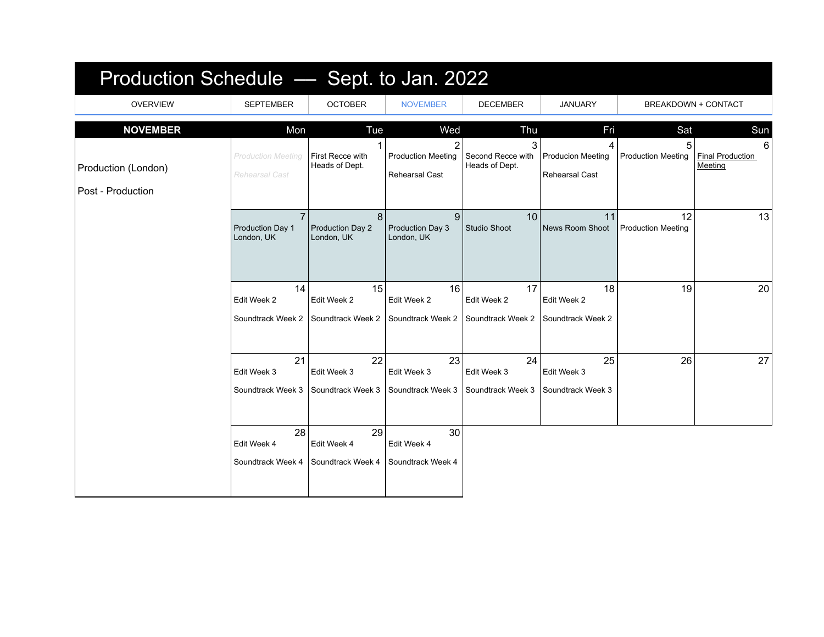| Production Schedule - Sept. to Jan. 2022 |                                                         |                                        |                                                         |                                          |                                                        |                                 |                                         |  |
|------------------------------------------|---------------------------------------------------------|----------------------------------------|---------------------------------------------------------|------------------------------------------|--------------------------------------------------------|---------------------------------|-----------------------------------------|--|
| <b>OVERVIEW</b>                          | <b>SEPTEMBER</b>                                        | <b>OCTOBER</b>                         | <b>NOVEMBER</b>                                         | <b>DECEMBER</b>                          | <b>JANUARY</b>                                         | <b>BREAKDOWN + CONTACT</b>      |                                         |  |
| <b>NOVEMBER</b>                          | Mon                                                     | Tue                                    | Wed                                                     | Thu                                      | Fri                                                    | Sat                             | Sun                                     |  |
| Production (London)<br>Post - Production | <b>Production Meeting</b><br>Rehearsal Cast             | First Recce with<br>Heads of Dept.     | 2<br><b>Production Meeting</b><br><b>Rehearsal Cast</b> | 3<br>Second Recce with<br>Heads of Dept. | 4<br><b>Producion Meeting</b><br><b>Rehearsal Cast</b> | 5<br><b>Production Meeting</b>  | 6<br><b>Final Production</b><br>Meeting |  |
|                                          | $\overline{7}$<br><b>Production Day 1</b><br>London, UK | 8<br>Production Day 2<br>London, UK    | 9<br>Production Day 3<br>London, UK                     | 10<br><b>Studio Shoot</b>                | 11<br>News Room Shoot                                  | 12<br><b>Production Meeting</b> | 13                                      |  |
|                                          | 14<br>Edit Week 2<br>Soundtrack Week 2                  | 15<br>Edit Week 2<br>Soundtrack Week 2 | 16<br>Edit Week 2<br>Soundtrack Week 2                  | 17<br>Edit Week 2<br>Soundtrack Week 2   | 18<br>Edit Week 2<br>Soundtrack Week 2                 | 19                              | 20                                      |  |
|                                          | 21<br>Edit Week 3<br>Soundtrack Week 3                  | 22<br>Edit Week 3<br>Soundtrack Week 3 | 23<br>Edit Week 3<br>Soundtrack Week 3                  | 24<br>Edit Week 3<br>Soundtrack Week 3   | 25<br>Edit Week 3<br>Soundtrack Week 3                 | 26                              | 27                                      |  |
|                                          | 28<br>Edit Week 4<br>Soundtrack Week 4                  | 29<br>Edit Week 4<br>Soundtrack Week 4 | 30<br>Edit Week 4<br>Soundtrack Week 4                  |                                          |                                                        |                                 |                                         |  |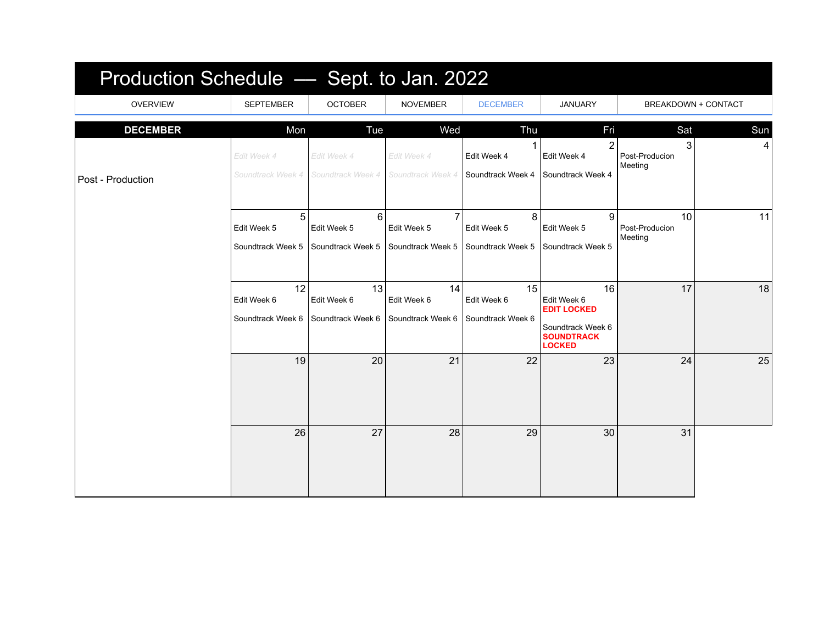| Production Schedule - Sept. to Jan. 2022 |                                        |                                        |                                                    |                                        |                                                                                                    |                                 |     |  |  |
|------------------------------------------|----------------------------------------|----------------------------------------|----------------------------------------------------|----------------------------------------|----------------------------------------------------------------------------------------------------|---------------------------------|-----|--|--|
| <b>OVERVIEW</b>                          | <b>SEPTEMBER</b>                       | <b>OCTOBER</b>                         | <b>NOVEMBER</b>                                    | <b>DECEMBER</b>                        | <b>JANUARY</b>                                                                                     | <b>BREAKDOWN + CONTACT</b>      |     |  |  |
| <b>DECEMBER</b>                          | Mon                                    | Tue                                    | Wed                                                | Thu                                    | Fri                                                                                                | Sat                             | Sun |  |  |
| Post - Production                        | Edit Week 4<br>Soundtrack Week 4       | Edit Week 4<br>Soundtrack Week 4       | Edit Week 4<br>Soundtrack Week 4                   | Edit Week 4<br>Soundtrack Week 4       | $\overline{2}$<br>Edit Week 4<br>Soundtrack Week 4                                                 | 3<br>Post-Producion<br>Meeting  | 4   |  |  |
|                                          | 5<br>Edit Week 5<br>Soundtrack Week 5  | 6<br>Edit Week 5<br>Soundtrack Week 5  | $\overline{7}$<br>Edit Week 5<br>Soundtrack Week 5 | 8<br>Edit Week 5<br>Soundtrack Week 5  | 9<br>Edit Week 5<br>Soundtrack Week 5                                                              | 10<br>Post-Producion<br>Meeting | 11  |  |  |
|                                          | 12<br>Edit Week 6<br>Soundtrack Week 6 | 13<br>Edit Week 6<br>Soundtrack Week 6 | 14<br>Edit Week 6<br>Soundtrack Week 6             | 15<br>Edit Week 6<br>Soundtrack Week 6 | 16<br>Edit Week 6<br><b>EDIT LOCKED</b><br>Soundtrack Week 6<br><b>SOUNDTRACK</b><br><b>LOCKED</b> | 17                              | 18  |  |  |
|                                          | 19                                     | 20                                     | 21                                                 | 22                                     | 23                                                                                                 | 24                              | 25  |  |  |
|                                          | 26                                     | 27                                     | 28                                                 | 29                                     | 30                                                                                                 | 31                              |     |  |  |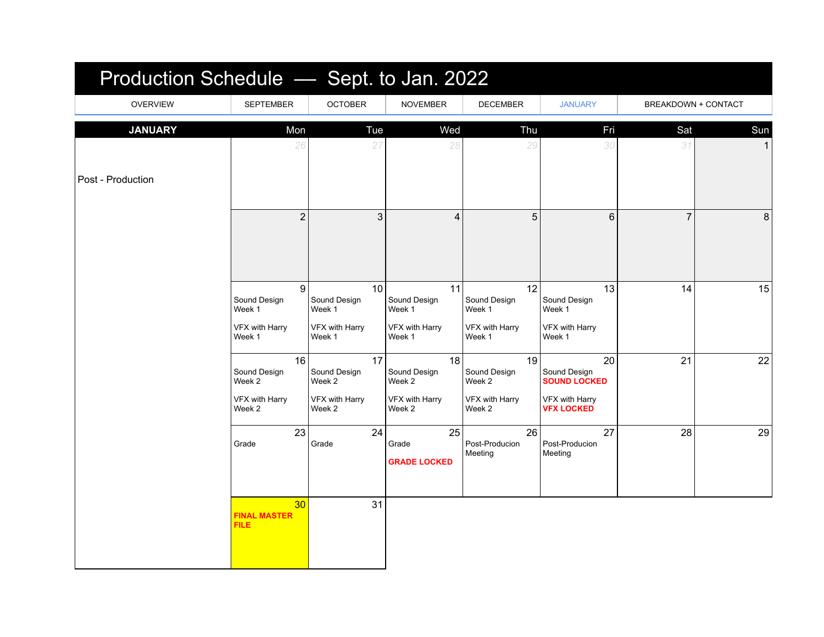| Production Schedule - Sept. to Jan. 2022 |                                                          |                                                          |                                                          |                                                          |                                                                                  |                     |  |  |
|------------------------------------------|----------------------------------------------------------|----------------------------------------------------------|----------------------------------------------------------|----------------------------------------------------------|----------------------------------------------------------------------------------|---------------------|--|--|
| <b>OVERVIEW</b>                          | <b>SEPTEMBER</b>                                         | <b>OCTOBER</b>                                           | <b>NOVEMBER</b>                                          | <b>DECEMBER</b>                                          | <b>JANUARY</b>                                                                   | BREAKDOWN + CONTACT |  |  |
| <b>JANUARY</b>                           | Mon                                                      | Tue                                                      | Wed                                                      | Thu                                                      | Fri                                                                              | Sun<br>Sat          |  |  |
| Post - Production                        | 26                                                       | 27                                                       | 28                                                       | 29                                                       | 30                                                                               | 31                  |  |  |
|                                          | $\overline{2}$                                           | 3                                                        | $\overline{4}$                                           | 5                                                        | 6                                                                                | $\overline{7}$<br>8 |  |  |
|                                          | 9<br>Sound Design<br>Week 1<br>VFX with Harry<br>Week 1  | 10<br>Sound Design<br>Week 1<br>VFX with Harry<br>Week 1 | 11<br>Sound Design<br>Week 1<br>VFX with Harry<br>Week 1 | 12<br>Sound Design<br>Week 1<br>VFX with Harry<br>Week 1 | 13<br>Sound Design<br>Week 1<br>VFX with Harry<br>Week 1                         | 15<br>14            |  |  |
|                                          | 16<br>Sound Design<br>Week 2<br>VFX with Harry<br>Week 2 | 17<br>Sound Design<br>Week 2<br>VFX with Harry<br>Week 2 | 18<br>Sound Design<br>Week 2<br>VFX with Harry<br>Week 2 | 19<br>Sound Design<br>Week 2<br>VFX with Harry<br>Week 2 | 20<br>Sound Design<br><b>SOUND LOCKED</b><br>VFX with Harry<br><b>VFX LOCKED</b> | 22<br>21            |  |  |
|                                          | 23<br>Grade                                              | 24<br>Grade                                              | 25<br>Grade<br><b>GRADE LOCKED</b>                       | 26<br>Post-Producion<br>Meeting                          | 27<br>Post-Producion<br>Meeting                                                  | 28<br>29            |  |  |
|                                          | 30<br><b>FINAL MASTER</b><br><b>FILE</b>                 | 31                                                       |                                                          |                                                          |                                                                                  |                     |  |  |